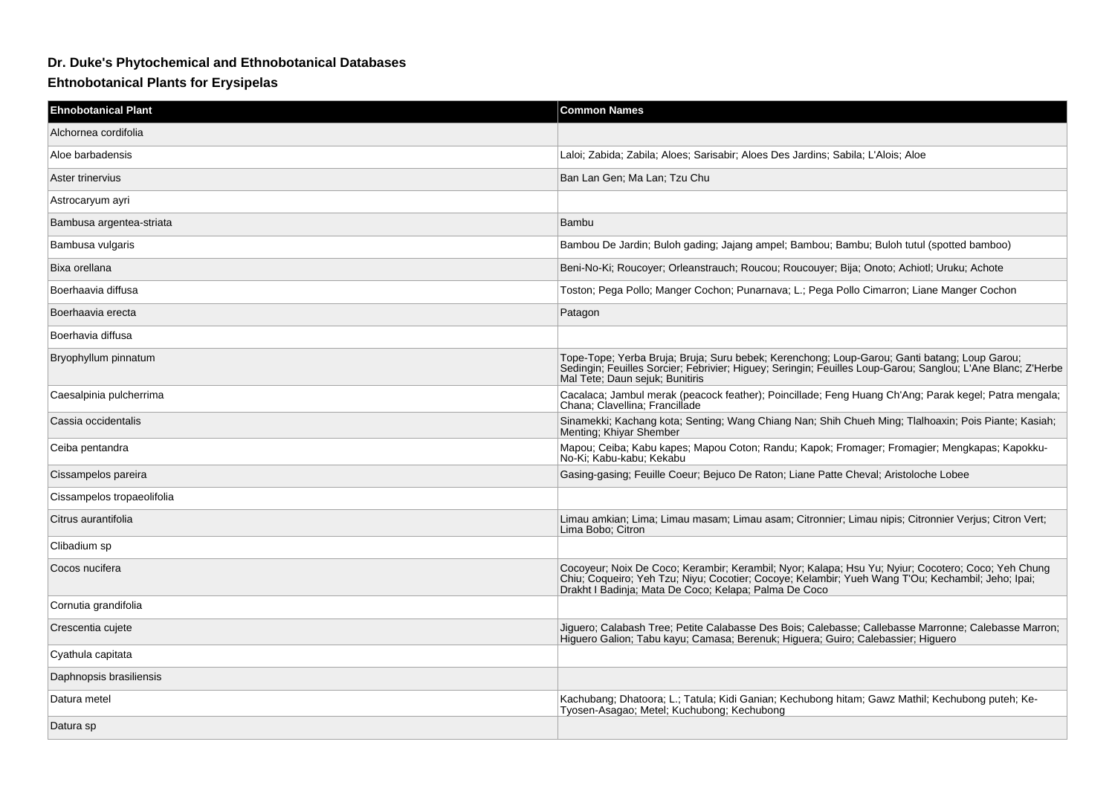## **Dr. Duke's Phytochemical and Ethnobotanical Databases**

## **Ehtnobotanical Plants for Erysipelas**

| <b>Ehnobotanical Plant</b> | <b>Common Names</b>                                                                                                                                                                                                                                              |
|----------------------------|------------------------------------------------------------------------------------------------------------------------------------------------------------------------------------------------------------------------------------------------------------------|
| Alchornea cordifolia       |                                                                                                                                                                                                                                                                  |
| Aloe barbadensis           | Laloi: Zabida: Zabila: Aloes: Sarisabir: Aloes Des Jardins: Sabila: L'Alois: Aloe                                                                                                                                                                                |
| Aster trinervius           | Ban Lan Gen; Ma Lan; Tzu Chu                                                                                                                                                                                                                                     |
| Astrocaryum ayri           |                                                                                                                                                                                                                                                                  |
| Bambusa argentea-striata   | Bambu                                                                                                                                                                                                                                                            |
| Bambusa vulgaris           | Bambou De Jardin; Buloh gading; Jajang ampel; Bambou; Bambu; Buloh tutul (spotted bamboo)                                                                                                                                                                        |
| Bixa orellana              | Beni-No-Ki; Roucoyer; Orleanstrauch; Roucou; Roucouyer; Bija; Onoto; Achiotl; Uruku; Achote                                                                                                                                                                      |
| Boerhaavia diffusa         | Toston; Pega Pollo; Manger Cochon; Punarnava; L.; Pega Pollo Cimarron; Liane Manger Cochon                                                                                                                                                                       |
| Boerhaavia erecta          | Patagon                                                                                                                                                                                                                                                          |
| Boerhavia diffusa          |                                                                                                                                                                                                                                                                  |
| Bryophyllum pinnatum       | Tope-Tope; Yerba Bruja; Bruja; Suru bebek; Kerenchong; Loup-Garou; Ganti batang; Loup Garou;<br>Sedingin; Feuilles Sorcier; Febrivier; Higuey; Seringin; Feuilles Loup-Garou; Sanglou; L'Ane Blanc; Z'Herbe<br>Mal Tete: Daun seiuk: Bunitiris                   |
| Caesalpinia pulcherrima    | Cacalaca; Jambul merak (peacock feather); Poincillade; Feng Huang Ch'Ang; Parak kegel; Patra mengala;<br>Chana: Clavellina: Francillade                                                                                                                          |
| Cassia occidentalis        | Sinamekki; Kachang kota; Senting; Wang Chiang Nan; Shih Chueh Ming; Tlalhoaxin; Pois Piante; Kasiah;<br>Menting: Khiyar Shember                                                                                                                                  |
| Ceiba pentandra            | Mapou; Ceiba; Kabu kapes; Mapou Coton; Randu; Kapok; Fromager; Fromagier; Mengkapas; Kapokku-<br>No-Ki; Kabu-kabu; Kekabu                                                                                                                                        |
| Cissampelos pareira        | Gasing-gasing; Feuille Coeur; Bejuco De Raton; Liane Patte Cheval; Aristoloche Lobee                                                                                                                                                                             |
| Cissampelos tropaeolifolia |                                                                                                                                                                                                                                                                  |
| Citrus aurantifolia        | Limau amkian; Lima; Limau masam; Limau asam; Citronnier; Limau nipis; Citronnier Verjus; Citron Vert;<br>Lima Bobo; Citron                                                                                                                                       |
| Clibadium sp               |                                                                                                                                                                                                                                                                  |
| Cocos nucifera             | Cocoyeur; Noix De Coco; Kerambir; Kerambil; Nyor; Kalapa; Hsu Yu; Nyiur; Cocotero; Coco; Yeh Chung<br>Chiu; Coqueiro; Yeh Tzu; Niyu; Cocotier; Cocoye; Kelambir; Yueh Wang T'Ou; Kechambil; Jeho; Ipai;<br>Drakht I Badinja; Mata De Coco; Kelapa; Palma De Coco |
| Cornutia grandifolia       |                                                                                                                                                                                                                                                                  |
| Crescentia cujete          | Jiguero; Calabash Tree; Petite Calabasse Des Bois; Calebasse; Callebasse Marronne; Calebasse Marron;<br>Higuero Galion; Tabu kayu; Camasa; Berenuk; Higuera; Guiro; Calebassier; Higuero                                                                         |
| Cyathula capitata          |                                                                                                                                                                                                                                                                  |
| Daphnopsis brasiliensis    |                                                                                                                                                                                                                                                                  |
| Datura metel               | Kachubang; Dhatoora; L.; Tatula; Kidi Ganian; Kechubong hitam; Gawz Mathil; Kechubong puteh; Ke-<br>Tyosen-Asagao; Metel; Kuchubong; Kechubong                                                                                                                   |
| Datura sp                  |                                                                                                                                                                                                                                                                  |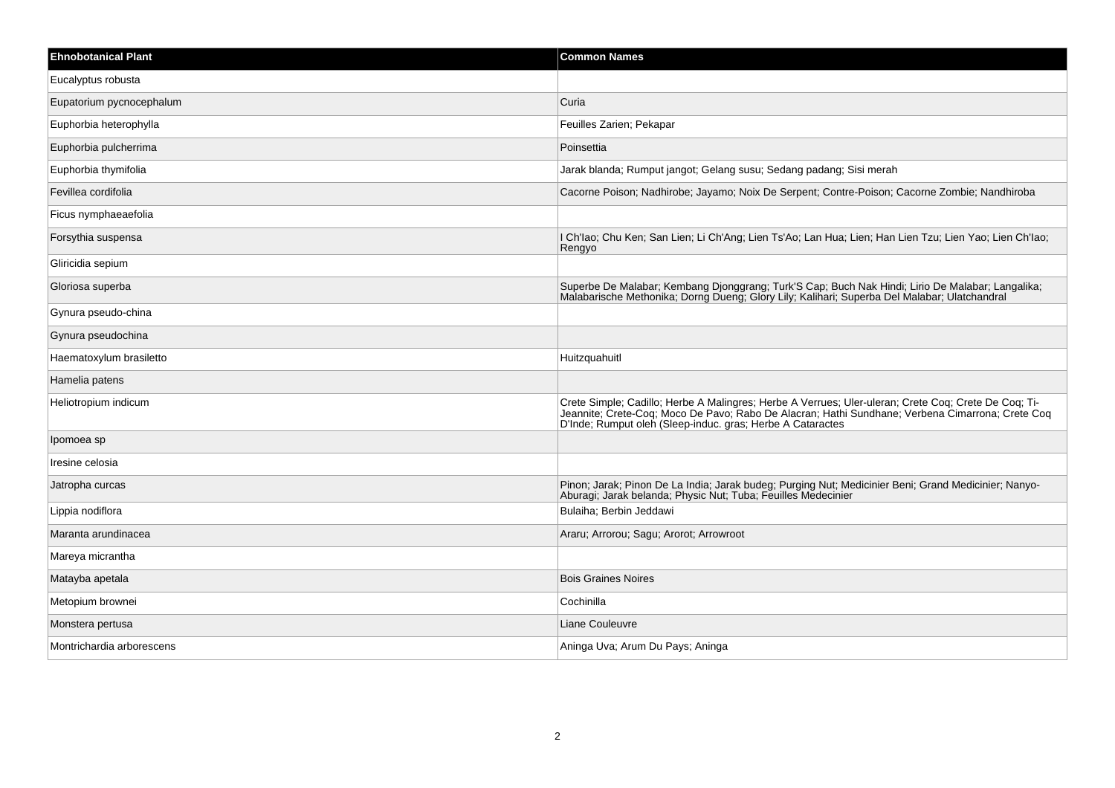| <b>Ehnobotanical Plant</b> | <b>Common Names</b>                                                                                                                                                                                                                                                    |
|----------------------------|------------------------------------------------------------------------------------------------------------------------------------------------------------------------------------------------------------------------------------------------------------------------|
| Eucalyptus robusta         |                                                                                                                                                                                                                                                                        |
| Eupatorium pycnocephalum   | Curia                                                                                                                                                                                                                                                                  |
| Euphorbia heterophylla     | Feuilles Zarien; Pekapar                                                                                                                                                                                                                                               |
| Euphorbia pulcherrima      | Poinsettia                                                                                                                                                                                                                                                             |
| Euphorbia thymifolia       | Jarak blanda; Rumput jangot; Gelang susu; Sedang padang; Sisi merah                                                                                                                                                                                                    |
| Fevillea cordifolia        | Cacorne Poison; Nadhirobe; Jayamo; Noix De Serpent; Contre-Poison; Cacorne Zombie; Nandhiroba                                                                                                                                                                          |
| Ficus nymphaeaefolia       |                                                                                                                                                                                                                                                                        |
| Forsythia suspensa         | I Ch'lao; Chu Ken; San Lien; Li Ch'Ang; Lien Ts'Ao; Lan Hua; Lien; Han Lien Tzu; Lien Yao; Lien Ch'lao;<br>Rengyo                                                                                                                                                      |
| Gliricidia sepium          |                                                                                                                                                                                                                                                                        |
| Gloriosa superba           | Superbe De Malabar; Kembang Djonggrang; Turk'S Cap; Buch Nak Hindi; Lirio De Malabar; Langalika;<br>Malabarische Methonika; Dorng Dueng; Glory Lily; Kalihari; Superba Del Malabar; Ulatchandral                                                                       |
| Gynura pseudo-china        |                                                                                                                                                                                                                                                                        |
| Gynura pseudochina         |                                                                                                                                                                                                                                                                        |
| Haematoxylum brasiletto    | Huitzquahuitl                                                                                                                                                                                                                                                          |
| Hamelia patens             |                                                                                                                                                                                                                                                                        |
| Heliotropium indicum       | Crete Simple; Cadillo; Herbe A Malingres; Herbe A Verrues; Uler-uleran; Crete Coq; Crete De Coq; Ti-<br>Jeannite; Crete-Coq; Moco De Pavo; Rabo De Alacran; Hathi Sundhane; Verbena Cimarrona; Crete Coq<br>D'Inde; Rumput oleh (Sleep-induc. gras; Herbe A Cataractes |
| Ipomoea sp                 |                                                                                                                                                                                                                                                                        |
| Iresine celosia            |                                                                                                                                                                                                                                                                        |
| Jatropha curcas            | Pinon; Jarak; Pinon De La India; Jarak budeg; Purging Nut; Medicinier Beni; Grand Medicinier; Nanyo-<br>Aburagi; Jarak belanda; Physic Nut; Tuba; Feuilles Medecinier                                                                                                  |
| Lippia nodiflora           | Bulaiha; Berbin Jeddawi                                                                                                                                                                                                                                                |
| Maranta arundinacea        | Araru; Arrorou; Sagu; Arorot; Arrowroot                                                                                                                                                                                                                                |
| Mareya micrantha           |                                                                                                                                                                                                                                                                        |
| Matayba apetala            | <b>Bois Graines Noires</b>                                                                                                                                                                                                                                             |
| Metopium brownei           | Cochinilla                                                                                                                                                                                                                                                             |
| Monstera pertusa           | Liane Couleuvre                                                                                                                                                                                                                                                        |
| Montrichardia arborescens  | Aninga Uva; Arum Du Pays; Aninga                                                                                                                                                                                                                                       |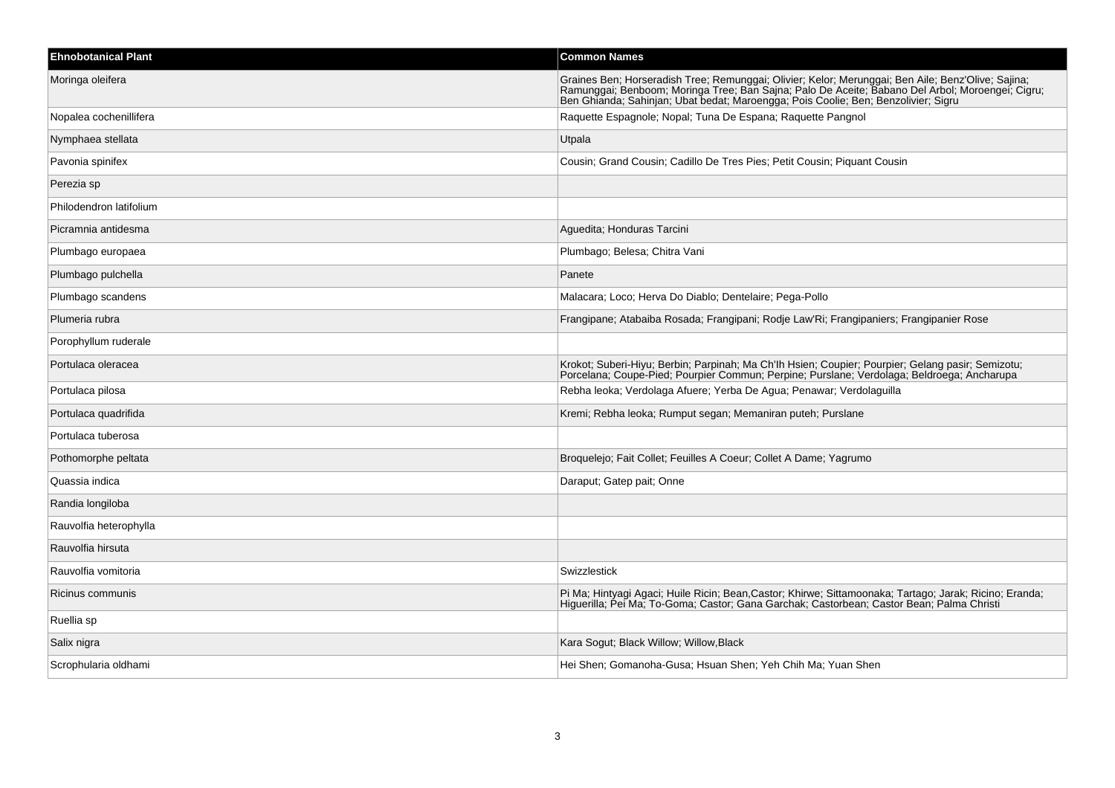| <b>Ehnobotanical Plant</b> | <b>Common Names</b>                                                                                                                                                                                                                                                                          |
|----------------------------|----------------------------------------------------------------------------------------------------------------------------------------------------------------------------------------------------------------------------------------------------------------------------------------------|
| Moringa oleifera           | Graines Ben; Horseradish Tree; Remunggai; Olivier; Kelor; Merunggai; Ben Aile; Benz'Olive; Sajina;<br>Ramunggai; Benboom; Moringa Tree; Ban Sajna; Palo De Aceite; Babano Del Arbol; Moroengei; Cigru;<br>Ben Ghianda; Sahinjan; Ubat bedat; Maroengga; Pois Coolie; Ben; Benzolivier; Sigru |
| Nopalea cochenillifera     | Raquette Espagnole; Nopal; Tuna De Espana; Raquette Pangnol                                                                                                                                                                                                                                  |
| Nymphaea stellata          | Utpala                                                                                                                                                                                                                                                                                       |
| Pavonia spinifex           | Cousin; Grand Cousin; Cadillo De Tres Pies; Petit Cousin; Piquant Cousin                                                                                                                                                                                                                     |
| Perezia sp                 |                                                                                                                                                                                                                                                                                              |
| Philodendron latifolium    |                                                                                                                                                                                                                                                                                              |
| Picramnia antidesma        | Aguedita; Honduras Tarcini                                                                                                                                                                                                                                                                   |
| Plumbago europaea          | Plumbago; Belesa; Chitra Vani                                                                                                                                                                                                                                                                |
| Plumbago pulchella         | Panete                                                                                                                                                                                                                                                                                       |
| Plumbago scandens          | Malacara; Loco; Herva Do Diablo; Dentelaire; Pega-Pollo                                                                                                                                                                                                                                      |
| Plumeria rubra             | Frangipane; Atabaiba Rosada; Frangipani; Rodje Law'Ri; Frangipaniers; Frangipanier Rose                                                                                                                                                                                                      |
| Porophyllum ruderale       |                                                                                                                                                                                                                                                                                              |
| Portulaca oleracea         | Krokot; Suberi-Hiyu; Berbin; Parpinah; Ma Ch'lh Hsien; Coupier; Pourpier; Gelang pasir; Semizotu;<br>Porcelana; Coupe-Pied; Pourpier Commun; Perpine; Purslane; Verdolaga; Beldroega; Ancharupa                                                                                              |
| Portulaca pilosa           | Rebha leoka; Verdolaga Afuere; Yerba De Agua; Penawar; Verdolaguilla                                                                                                                                                                                                                         |
| Portulaca quadrifida       | Kremi; Rebha leoka; Rumput segan; Memaniran puteh; Purslane                                                                                                                                                                                                                                  |
| Portulaca tuberosa         |                                                                                                                                                                                                                                                                                              |
| Pothomorphe peltata        | Broquelejo; Fait Collet; Feuilles A Coeur; Collet A Dame; Yagrumo                                                                                                                                                                                                                            |
| Quassia indica             | Daraput; Gatep pait; Onne                                                                                                                                                                                                                                                                    |
| Randia longiloba           |                                                                                                                                                                                                                                                                                              |
| Rauvolfia heterophylla     |                                                                                                                                                                                                                                                                                              |
| Rauvolfia hirsuta          |                                                                                                                                                                                                                                                                                              |
| Rauvolfia vomitoria        | Swizzlestick                                                                                                                                                                                                                                                                                 |
| Ricinus communis           | Pi Ma; Hintyagi Agaci; Huile Ricin; Bean, Castor; Khirwe; Sittamoonaka; Tartago; Jarak; Ricino; Eranda;<br>Higuerilla; Pei Ma; To-Goma; Castor; Gana Garchak; Castorbean; Castor Bean; Palma Christi                                                                                         |
| Ruellia sp                 |                                                                                                                                                                                                                                                                                              |
| Salix nigra                | Kara Sogut; Black Willow; Willow, Black                                                                                                                                                                                                                                                      |
| Scrophularia oldhami       | Hei Shen; Gomanoha-Gusa; Hsuan Shen; Yeh Chih Ma; Yuan Shen                                                                                                                                                                                                                                  |